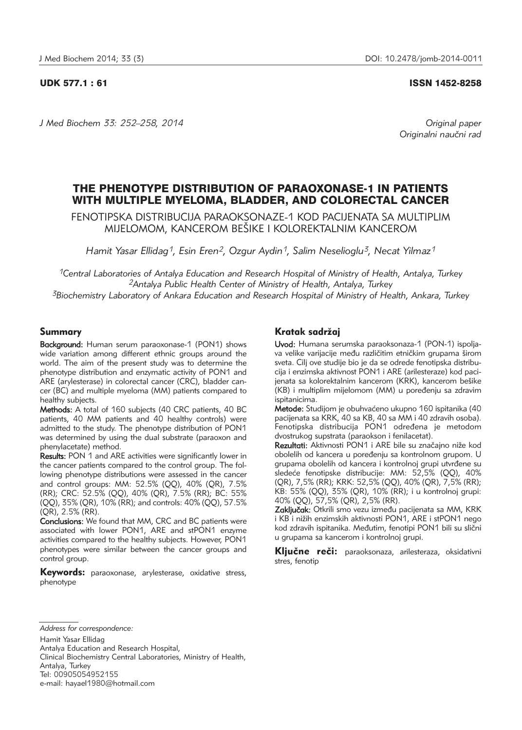#### UDK 577.1 : 61 ISSN 1452-8258

*J Med Biochem 33: 252–258, 2014 Original paper*

Originalni naučni rad

# THE PHENOTYPE DISTRIBUTION OF PARAOXONASE-1 IN PATIENTS WITH MULTIPLE MYELOMA, BLADDER, AND COLORECTAL CANCER

FENOTIPSKA DISTRIBUCIJA PARAOKSONAZE-1 KOD PACIJENATA SA MULTIPLIM MIJELOMOM, KANCEROM BEŠIKE I KOLOREKTALNIM KANCEROM

*Hamit Yasar Ellidag1, Esin Eren2, Ozgur Aydin1, Salim Neselioglu3, Necat Yilmaz1*

*1Central Laboratories of Antalya Education and Research Hospital of Ministry of Health, Antalya, Turkey 2Antalya Public Health Center of Ministry of Health, Antalya, Turkey 3Biochemistry Laboratory of Ankara Education and Research Hospital of Ministry of Health, Ankara, Turkey*

## Summary

Background: Human serum paraoxonase-1 (PON1) shows wide variation among different ethnic groups around the world. The aim of the present study was to determine the phenotype distribution and enzymatic activity of PON1 and ARE (arylesterase) in colorectal cancer (CRC), bladder cancer (BC) and multiple myeloma (MM) patients compared to healthy subjects.

Methods: A total of 160 subjects (40 CRC patients, 40 BC patients, 40 MM patients and 40 healthy controls) were admitted to the study. The phenotype distribution of PON1 was determined by using the dual substrate (paraoxon and phenylacetate) method.

Results: PON 1 and ARE activities were significantly lower in the cancer patients compared to the control group. The following phenotype distributions were assessed in the cancer and control groups: MM: 52.5% (QQ), 40% (QR), 7.5% (RR); CRC: 52.5% (QQ), 40% (QR), 7.5% (RR); BC: 55% (QQ), 35% (QR), 10% (RR); and controls: 40% (QQ), 57.5% (QR), 2.5% (RR).

Conclusions: We found that MM, CRC and BC patients were associated with lower PON1, ARE and stPON1 enzyme activities compared to the healthy subjects. However, PON1 phenotypes were similar between the cancer groups and control group.

Keywords: paraoxonase, arylesterase, oxidative stress, phenotype

## Kratak sadržaj

Uvod: Humana serumska paraoksonaza-1 (PON-1) ispoljava velike varijacije među različitim etničkim grupama širom sveta. Cilj ove studije bio je da se odrede fenotipska distribucija i enzimska aktivnost PON1 i ARE (arilesteraze) kod pacijenata sa kolorektalnim kancerom (KRK), kancerom bešike (KB) i multiplim mijelomom (MM) u poređenju sa zdravim ispitanicima.

Metode: Studijom je obuhvaćeno ukupno 160 ispitanika (40 pacijenata sa KRK, 40 sa KB, 40 sa MM i 40 zdravih osoba). Fenotipska distribucija PON1 određena je metodom dvostrukog supstrata (paraokson i fenilacetat).

Rezultati: Aktivnosti PON1 i ARE bile su značajno niže kod obolelih od kancera u poređenju sa kontrolnom grupom. U grupama obolelih od kancera i kontrolnoj grupi utvrđene su sledeće fenotipske distribucije: MM: 52,5% (QQ), 40% (QR), 7,5% (RR); KRK: 52,5% (QQ), 40% (QR), 7,5% (RR); KB: 55% (QQ), 35% (QR), 10% (RR); i u kontrolnoj grupi: 40% (QQ), 57,5% (QR), 2,5% (RR).

Zaključak: Otkrili smo vezu između pacijenata sa MM, KRK i KB<sup>'</sup>i nižih enzimskih aktivnosti PON1, ARE i stPON1 nego kod zdravih ispitanika. Međutim, fenotipi PON1 bili su slični u grupama sa kancerom i kontrolnoj grupi.

Kliučne reči: paraoksonaza, arilesteraza, oksidativni stres, fenotip

*Address for correspondence:*

Hamit Yasar Ellidag

Clinical Biochemistry Central Laboratories, Ministry of Health, Antalya, Turkey Tel: 00905054952155

e-mail: hayael1980@hotmail.com

Antalya Education and Research Hospital,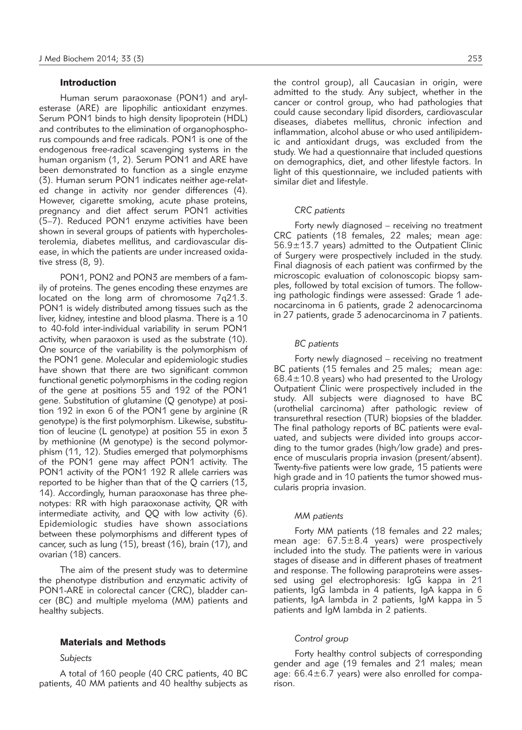#### Introduction

Human serum paraoxonase (PON1) and arylesterase (ARE) are lipophilic antioxidant enzymes. Serum PON1 binds to high density lipoprotein (HDL) and contributes to the elimination of organophosphorus compounds and free radicals. PON1 is one of the endogenous free-radical scavenging systems in the human organism (1, 2). Serum PON1 and ARE have been demonstrated to function as a single enzyme (3). Human serum PON1 indicates neither age-related change in activity nor gender differences (4). However, cigarette smoking, acute phase proteins, pregnancy and diet affect serum PON1 activities (5–7). Reduced PON1 enzyme activities have been shown in several groups of patients with hypercholesterolemia, diabetes mellitus, and cardiovascular disease, in which the patients are under increased oxidative stress (8, 9).

PON1, PON2 and PON3 are members of a family of proteins. The genes encoding these enzymes are located on the long arm of chromosome 7q21.3. PON1 is widely distributed among tissues such as the liver, kidney, intestine and blood plasma. There is a 10 to 40-fold inter-individual variability in serum PON1 activity, when paraoxon is used as the substrate (10). One source of the variability is the polymorphism of the PON1 gene. Molecular and epidemiologic studies have shown that there are two significant common functional genetic polymorphisms in the coding region of the gene at positions 55 and 192 of the PON1 gene. Substitution of glutamine (Q genotype) at position 192 in exon 6 of the PON1 gene by arginine (R genotype) is the first polymorphism. Likewise, substitution of leucine (L genotype) at position 55 in exon 3 by methionine (M genotype) is the second polymorphism (11, 12). Studies emerged that polymorphisms of the PON1 gene may affect PON1 activity. The PON1 activity of the PON1 192 R allele carriers was reported to be higher than that of the Q carriers (13, 14). Accordingly, human paraoxonase has three phenotypes: RR with high paraoxonase activity, QR with intermediate activity, and QQ with low activity (6). Epidemiologic studies have shown associations between these polymorphisms and different types of cancer, such as lung (15), breast (16), brain (17), and ovarian (18) cancers.

The aim of the present study was to determine the phenotype distribution and enzymatic activity of PON1-ARE in colorectal cancer (CRC), bladder cancer (BC) and multiple myeloma (MM) patients and healthy subjects.

### Materials and Methods

#### *Subjects*

A total of 160 people (40 CRC patients, 40 BC patients, 40 MM patients and 40 healthy subjects as the control group), all Caucasian in origin, were admitted to the study. Any subject, whether in the cancer or control group, who had pathologies that could cause secondary lipid disorders, cardiovascular diseases, diabetes mellitus, chronic infection and inflammation, alcohol abuse or who used antilipidemic and antioxidant drugs, was excluded from the study. We had a questionnaire that included questions on demographics, diet, and other lifestyle factors. In light of this questionnaire, we included patients with similar diet and lifestyle.

#### *CRC patients*

Forty newly diagnosed – receiving no treatment CRC patients (18 females, 22 males; mean age:  $56.9\pm13.7$  years) admitted to the Outpatient Clinic of Surgery were prospectively included in the study. Final diagnosis of each patient was confirmed by the microscopic evaluation of colonoscopic biopsy samples, followed by total excision of tumors. The following pathologic findings were assessed: Grade 1 adenocarcinoma in 6 patients, grade 2 adenocarcinoma in 27 patients, grade 3 adenocarcinoma in 7 patients.

#### *BC patients*

Forty newly diagnosed – receiving no treatment BC patients (15 females and 25 males; mean age:  $68.4 \pm 10.8$  years) who had presented to the Urology Outpatient Clinic were prospectively included in the study. All subjects were diagnosed to have BC (urothelial carcinoma) after pathologic review of transurethral resection (TUR) biopsies of the bladder. The final pathology reports of BC patients were evaluated, and subjects were divided into groups according to the tumor grades (high/low grade) and presence of muscularis propria invasion (present/absent). Twenty-five patients were low grade, 15 patients were high grade and in 10 patients the tumor showed muscularis propria invasion.

#### *MM patients*

Forty MM patients (18 females and 22 males; mean age: 67.5±8.4 years) were prospectively included into the study. The patients were in various stages of disease and in different phases of treatment and response. The following paraproteins were assessed using gel electrophoresis: IgG kappa in 21 patients, IgG lambda in 4 patients, IgA kappa in 6 patients, IgA lambda in 2 patients, IgM kappa in 5 patients and IgM lambda in 2 patients.

#### *Control group*

Forty healthy control subjects of corresponding gender and age (19 females and 21 males; mean age:  $66.4 \pm 6.7$  years) were also enrolled for comparison.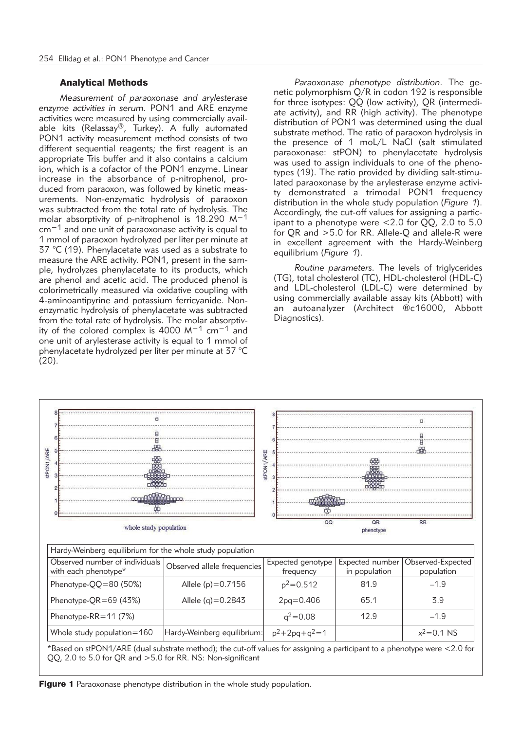#### Analytical Methods

*Measurement of paraoxonase and arylesterase enzyme activities in serum.* PON1 and ARE enzyme activities were measured by using commercially available kits (Relassay®, Turkey). A fully automated PON1 activity measurement method consists of two different sequential reagents; the first reagent is an appropriate Tris buffer and it also contains a calcium ion, which is a cofactor of the PON1 enzyme. Linear increase in the absorbance of p-nitrophenol, produced from paraoxon, was followed by kinetic measurements. Non-enzymatic hydrolysis of paraoxon was subtracted from the total rate of hydrolysis. The molar absorptivity of p-nitrophenol is 18.290 M−1 cm−1 and one unit of paraoxonase activity is equal to 1 mmol of paraoxon hydrolyzed per liter per minute at 37  $\degree$ C (19). Phenylacetate was used as a substrate to measure the ARE activity. PON1, present in the sample, hydrolyzes phenylacetate to its products, which are phenol and acetic acid. The produced phenol is colorimetrically measured via oxidative coupling with 4-aminoantipyrine and potassium ferricyanide. Nonenzymatic hydrolysis of phenylacetate was subtracted from the total rate of hydrolysis. The molar absorptivity of the colored complex is 4000 M−1 cm−1 and one unit of arylesterase activity is equal to 1 mmol of phenylacetate hydrolyzed per liter per minute at 37 °C (20).

Paraoxonase phenotype distribution. The genetic polymorphism Q/R in codon 192 is responsible for three isotypes: QQ (low activity), QR (intermediate activity), and RR (high activity). The phenotype distribution of PON1 was determined using the dual substrate method. The ratio of paraoxon hydrolysis in the presence of 1 moL/L NaCl (salt stimulated paraoxonase: stPON) to phenylacetate hydrolysis was used to assign individuals to one of the phenotypes (19). The ratio provided by dividing salt-stimulated paraoxonase by the arylesterase enzyme activity demonstrated a trimodal PON1 frequency distribution in the whole study population (*Figure 1*). Accordingly, the cut-off values for assigning a participant to a phenotype were <2.0 for QQ, 2.0 to 5.0 for QR and >5.0 for RR. Allele-Q and allele-R were in excellent agreement with the Hardy-Weinberg equilibrium (*Figure 1*).

*Routine parameters.* The levels of triglycerides (TG), total cholesterol (TC), HDL-cholesterol (HDL-C) and LDL-cholesterol (LDL-C) were determined by using commercially available assay kits (Abbott) with an autoanalyzer (Architect ®c16000, Abbott Diagnostics).



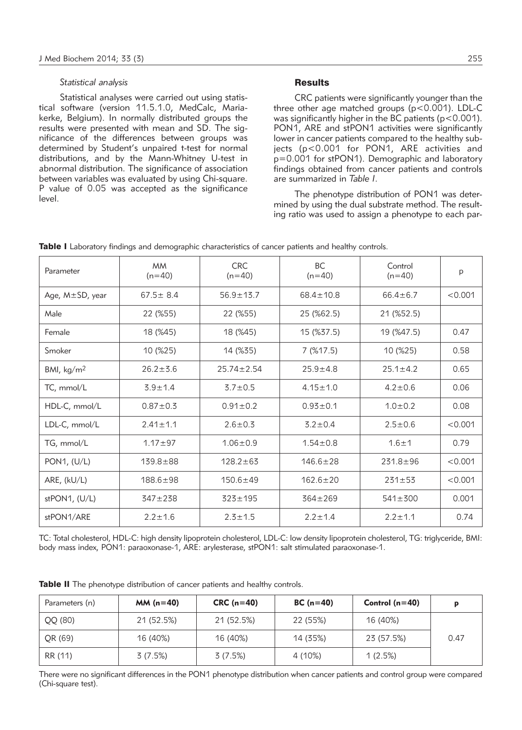#### *Statistical analysis*

Statistical analyses were carried out using statistical software (version 11.5.1.0, MedCalc, Mariakerke, Belgium). In normally distributed groups the results were presented with mean and SD. The significance of the differences between groups was determined by Student's unpaired t-test for normal distributions, and by the Mann-Whitney U-test in abnormal distribution. The significance of association between variables was evaluated by using Chi-square. P value of 0.05 was accepted as the significance level.

## **Results**

CRC patients were significantly younger than the three other age matched groups (p<0.001). LDL-C was significantly higher in the BC patients ( $p < 0.001$ ). PON1, ARE and stPON1 activities were significantly lower in cancer patients compared to the healthy subjects (p<0.001 for PON1, ARE activities and p=0.001 for stPON1). Demographic and laboratory findings obtained from cancer patients and controls are summarized in *Table I*.

The phenotype distribution of PON1 was determined by using the dual substrate method. The resulting ratio was used to assign a phenotype to each par-

| Parameter                   | <b>MM</b><br>$(n=40)$ | <b>CRC</b><br>$(n=40)$ | <b>BC</b><br>$(n=40)$ | Control<br>$(n=40)$ | p       |
|-----------------------------|-----------------------|------------------------|-----------------------|---------------------|---------|
| Age, M±SD, year             | $67.5 \pm 8.4$        | $56.9 \pm 13.7$        | $68.4 \pm 10.8$       | $66.4 \pm 6.7$      | < 0.001 |
| Male                        | 22 (%55)              | 22 (%55)               | 25 (%62.5)            | 21 (%52.5)          |         |
| Female                      | 18 (%45)              | 18 (%45)               | 15 (%37.5)            | 19 (%47.5)          | 0.47    |
| Smoker                      | 10 (%25)              | 14 (%35)               | 7(%17.5)              | 10 (%25)            | 0.58    |
| BMI, $\text{kg}/\text{m}^2$ | $26.2 \pm 3.6$        | $25.74 \pm 2.54$       | $25.9 + 4.8$          | $25.1 \pm 4.2$      | 0.65    |
| TC, mmol/L                  | $3.9 \pm 1.4$         | $3.7 \pm 0.5$          | $4.15 \pm 1.0$        | $4.2 \pm 0.6$       | 0.06    |
| HDL-C, mmol/L               | $0.87 + 0.3$          | $0.91 \pm 0.2$         | $0.93 \pm 0.1$        | $1.0 \pm 0.2$       | 0.08    |
| LDL-C, mmol/L               | $2.41 \pm 1.1$        | $2.6 \pm 0.3$          | $3.2 \pm 0.4$         | $2.5 \pm 0.6$       | < 0.001 |
| TG, mmol/L                  | $1.17 + 97$           | $1.06 \pm 0.9$         | $1.54 \pm 0.8$        | $1.6 + 1$           | 0.79    |
| PON1, $(U/L)$               | $139.8 \pm 88$        | $128.2 \pm 63$         | $146.6 \pm 28$        | $231.8 \pm 96$      | < 0.001 |
| ARE, (kU/L)                 | 188.6±98              | $150.6 + 49$           | $162.6 \pm 20$        | $231 \pm 53$        | < 0.001 |
| $stPON1$ , $(U/L)$          | $347 + 238$           | $323 \pm 195$          | $364 \pm 269$         | $541 \pm 300$       | 0.001   |
| stPON1/ARE                  | $2.2 \pm 1.6$         | $2.3 \pm 1.5$          | $2.2 \pm 1.4$         | $2.2 \pm 1.1$       | 0.74    |

Table I Laboratory findings and demographic characteristics of cancer patients and healthy controls.

TC: Total cholesterol, HDL-C: high density lipoprotein cholesterol, LDL-C: low density lipoprotein cholesterol, TG: triglyceride, BMI: body mass index, PON1: paraoxonase-1, ARE: arylesterase, stPON1: salt stimulated paraoxonase-1.

| Table II The phenotype distribution of cancer patients and healthy controls. |  |  |
|------------------------------------------------------------------------------|--|--|
|------------------------------------------------------------------------------|--|--|

| Parameters (n) | $MM(n=40)$ | $CRC(n=40)$ | $BC(n=40)$ | Control $(n=40)$ | p    |
|----------------|------------|-------------|------------|------------------|------|
| QQ (80)        | 21 (52.5%) | 21 (52.5%)  | 22 (55%)   | 16 (40%)         |      |
| QR (69)        | 16 (40%)   | 16 (40%)    | 14 (35%)   | 23 (57.5%)       | 0.47 |
| RR (11)        | 3(7.5%)    | 3(7.5%)     | 4 (10%)    | 1(2.5%)          |      |

There were no significant differences in the PON1 phenotype distribution when cancer patients and control group were compared (Chi-square test).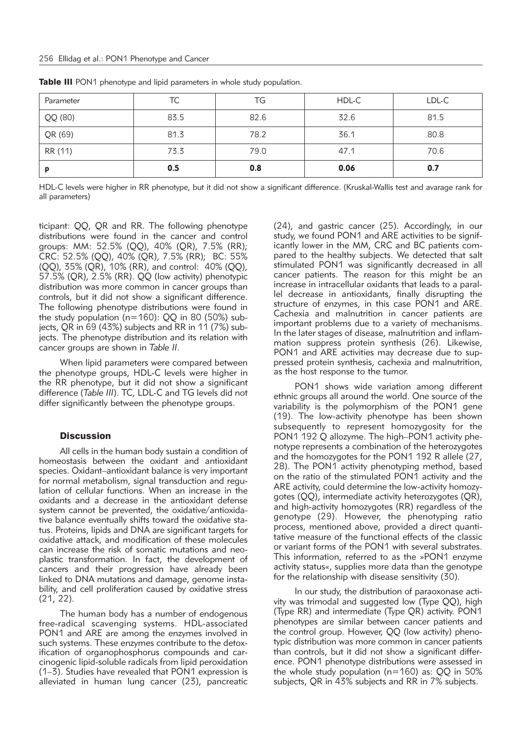| Parameter | ТC   | TG   | HDL-C | LDL-C |
|-----------|------|------|-------|-------|
| QQ (80)   | 83.5 | 82.6 | 32.6  | 81.5  |
| QR (69)   | 81.3 | 78.2 | 36.1  | 80.8  |
| RR (11)   | 73.3 | 79.0 | 47.1  | 70.6  |
| p         | 0.5  | 0.8  | 0.06  | 0.7   |

Table III PON1 phenotype and lipid parameters in whole study population.

HDL-C levels were higher in RR phenotype, but it did not show a significant difference. (Kruskal-Wallis test and avarage rank for all parameters)

ticipant: QQ, QR and RR. The following phenotype distributions were found in the cancer and control groups: MM: 52.5% (QQ), 40% (QR), 7.5% (RR); CRC: 52.5% (QQ), 40% (QR), 7.5% (RR); BC: 55% (QQ), 35% (QR), 10% (RR), and control: 40% (QQ), 57.5% (QR), 2.5% (RR). QQ (low activity) phenotypic distribution was more common in cancer groups than controls, but it did not show a significant difference. The following phenotype distributions were found in the study population (n=160): QQ in 80 (50%) subjects, QR in 69 (43%) subjects and RR in 11 (7%) subjects. The phenotype distribution and its relation with cancer groups are shown in *Table II*.

When lipid parameters were compared between the phenotype groups, HDL-C levels were higher in the RR phenotype, but it did not show a significant difference (*Table III*). TC, LDL-C and TG levels did not differ significantly between the phenotype groups.

#### **Discussion**

All cells in the human body sustain a condition of homeostasis between the oxidant and antioxidant species. Oxidant–antioxidant balance is very important for normal metabolism, signal transduction and regulation of cellular functions. When an increase in the oxidants and a decrease in the antioxidant defense system cannot be prevented, the oxidative/antioxidative balance eventually shifts toward the oxidative status. Proteins, lipids and DNA are significant targets for oxidative attack, and modification of these molecules can increase the risk of somatic mutations and neoplastic transformation. In fact, the development of cancers and their progression have already been linked to DNA mutations and damage, genome instability, and cell proliferation caused by oxidative stress (21, 22).

The human body has a number of endogenous free-radical scavenging systems. HDL-associated PON1 and ARE are among the enzymes involved in such systems. These enzymes contribute to the detoxification of organophosphorus compounds and carcinogenic lipid-soluble radicals from lipid peroxidation (1–3). Studies have revealed that PON1 expression is alleviated in human lung cancer (23), pancreatic

(24), and gastric cancer (25). Accordingly, in our study, we found PON1 and ARE activities to be significantly lower in the MM, CRC and BC patients compared to the healthy subjects. We detected that salt stimulated PON1 was significantly decreased in all cancer patients. The reason for this might be an increase in intracellular oxidants that leads to a parallel decrease in antioxidants, finally disrupting the structure of enzymes, in this case PON1 and ARE. Cachexia and malnutrition in cancer patients are important problems due to a variety of mechanisms. In the later stages of disease, malnutrition and inflammation suppress protein synthesis (26). Likewise, PON1 and ARE activities may decrease due to suppressed protein synthesis, cachexia and malnutrition, as the host response to the tumor.

PON1 shows wide variation among different ethnic groups all around the world. One source of the variability is the polymorphism of the PON1 gene (19). The low-activity phenotype has been shown subsequently to represent homozygosity for the PON1 192 Q allozyme. The high–PON1 activity phenotype represents a combination of the heterozygotes and the homozygotes for the PON1 192 R allele (27, 28). The PON1 activity phenotyping method, based on the ratio of the stimulated PON1 activity and the ARE activity, could determine the low-activity homozygotes (QQ), intermediate activity heterozygotes (QR), and high-activity homozygotes (RR) regardless of the genotype (29). However, the phenotyping ratio process, mentioned above, provided a direct quantitative measure of the functional effects of the classic or variant forms of the PON1 with several substrates. This information, referred to as the »PON1 enzyme activity status«, supplies more data than the genotype for the relationship with disease sensitivity (30).

In our study, the distribution of paraoxonase activity was trimodal and suggested low (Type  $QQ$ ), high (Type RR) and intermediate (Type QR) activity. PON1 phenotypes are similar between cancer patients and the control group. However, QQ (low activity) phenotypic distribution was more common in cancer patients than controls, but it did not show a significant difference. PON1 phenotype distributions were assessed in the whole study population (n=160) as: QQ in 50% subjects, QR in 43% subjects and RR in 7% subjects.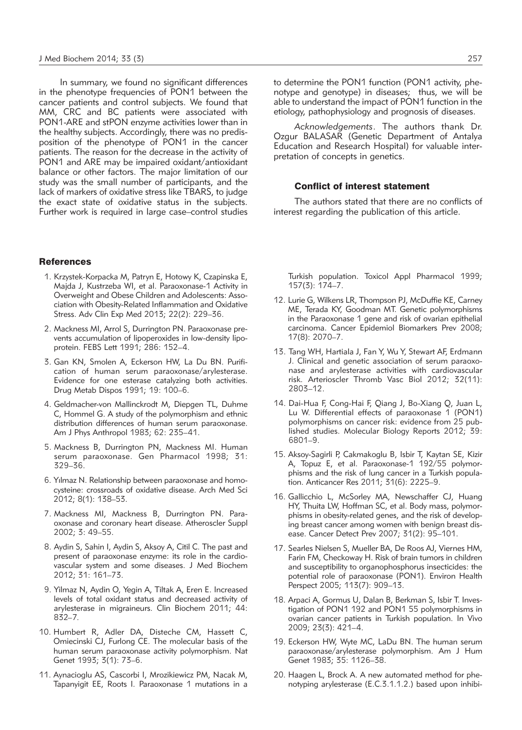In summary, we found no significant differences in the phenotype frequencies of PON1 between the cancer patients and control subjects. We found that MM, CRC and BC patients were associated with PON1-ARE and stPON enzyme activities lower than in the healthy subjects. Accordingly, there was no predisposition of the phenotype of PON1 in the cancer patients. The reason for the decrease in the activity of PON1 and ARE may be impaired oxidant/antioxidant balance or other factors. The major limitation of our study was the small number of participants, and the lack of markers of oxidative stress like TBARS, to judge the exact state of oxidative status in the subjects. Further work is required in large case–control studies

#### **References**

- 1. Krzystek-Korpacka M, Patryn E, Hotowy K, Czapinska E, Majda J, Kustrzeba WI, et al. Paraoxonase-1 Activity in Overweight and Obese Children and Adolescents: Association with Obesity-Related Inflammation and Oxidative Stress. Adv Clin Exp Med 2013; 22(2): 229–36.
- 2. Mackness MI, Arrol S, Durrington PN. Paraoxonase prevents accumulation of lipoperoxides in low-density lipoprotein. FEBS Lett 1991; 286: 152–4.
- 3. Gan KN, Smolen A, Eckerson HW, La Du BN. Purification of human serum paraoxonase/arylesterase. Evidence for one esterase catalyzing both activities. Drug Metab Dispos 1991; 19: 100–6.
- 4. Geldmacher-von Mallinckrodt M, Diepgen TL, Duhme C, Hommel G. A study of the polymorphism and ethnic distribution differences of human serum paraoxonase. Am J Phys Anthropol 1983; 62: 235–41.
- 5. Mackness B, Durrington PN, Mackness MI. Human serum paraoxonase. Gen Pharmacol 1998; 31: 329–36.
- 6. Yılmaz N. Relationship between paraoxonase and homocysteine: crossroads of oxidative disease. Arch Med Sci 2012; 8(1): 138–53.
- 7. Mackness MI, Mackness B, Durrington PN. Paraoxonase and coronary heart disease. Atheroscler Suppl 2002; 3: 49–55.
- 8. Aydin S, Sahin I, Aydin S, Aksoy A, Citil C. The past and present of paraoxonase enzyme: its role in the cardiovascular system and some diseases. J Med Biochem 2012; 31: 161–73.
- 9. Yilmaz N, Aydin O, Yegin A, Tiltak A, Eren E. Increased le vels of total oxidant status and decreased activity of arylesterase in migraineurs. Clin Biochem 2011: 44: 832–7.
- 10. Humbert R, Adler DA, Disteche CM, Hassett C, Omiecinski CJ, Furlong CE. The molecular basis of the human serum paraoxonase activity polymorphism. Nat Genet 1993; 3(1): 73–6.
- 11. Aynacioglu AS, Cascorbi I, Mrozikiewicz PM, Nacak M, Tapanyigit EE, Roots I. Paraoxonase 1 mutations in a

*Acknowledgements*. The authors thank Dr. Ozgur BALASAR (Genetic Department of Antalya Education and Research Hospital) for valuable interpretation of concepts in genetics.

etiology, pathophysiology and prognosis of diseases.

#### Conflict of interest statement

The authors stated that there are no conflicts of interest regarding the publication of this article.

Turkish population. Toxicol Appl Pharmacol 1999; 157(3): 174–7.

- 12. Lurie G, Wilkens LR, Thompson PJ, McDuffie KE, Carney ME, Terada KY, Goodman MT. Genetic polymorphisms in the Paraoxonase 1 gene and risk of ovarian epithelial carcinoma. Cancer Epidemiol Biomarkers Prev 2008; 17(8): 2070–7.
- 13. Tang WH, Hartiala J, Fan Y, Wu Y, Stewart AF, Erdmann J. Clinical and genetic association of serum paraoxonase and arylesterase activities with cardiovascular risk. Arterioscler Thromb Vasc Biol 2012; 32(11): 2803–12.
- 14. Dai-Hua F, Cong-Hai F, Qiang J, Bo-Xiang Q, Juan L, Lu W. Differential effects of paraoxonase 1 (PON1) polymorphisms on cancer risk: evidence from 25 published studies. Molecular Biology Reports 2012; 39: 6801–9.
- 15. Aksoy-Sagirli P, Cakmakoglu B, Isbir T, Kaytan SE, Kizir A, Topuz E, et al. Paraoxonase-1 192/55 polymorphisms and the risk of lung cancer in a Turkish population. Anticancer Res 2011;  $31(6)$ : 2225-9.
- 16. Gallicchio L, McSorley MA, Newschaffer CJ, Huang HY, Thuita LW, Hoffman SC, et al. Body mass, polymorphisms in obesity-related genes, and the risk of developing breast cancer among women with benign breast disease. Cancer Detect Prev 2007; 31(2): 95–101.
- 17. Searles Nielsen S, Mueller BA, De Roos AJ, Viernes HM, Farin FM, Checkoway H. Risk of brain tumors in children and susceptibility to organophosphorus insecticides: the potential role of paraoxonase (PON1). Environ Health Perspect 2005; 113(7): 909–13.
- 18. Arpaci A, Gormus U, Dalan B, Berkman S, Isbir T. Investigation of PON1 192 and PON1 55 polymorphisms in ovarian cancer patients in Turkish population. In Vivo 2009; 23(3): 421–4.
- 19. Eckerson HW, Wyte MC, LaDu BN. The human serum paraoxonase/arylesterase polymorphism. Am J Hum Genet 1983; 35: 1126–38.
- 20. Haagen L, Brock A. A new automated method for phenotyping arylesterase (E.C.3.1.1.2.) based upon inhibi-